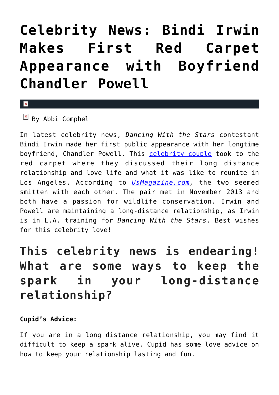## **[Celebrity News: Bindi Irwin](https://cupidspulse.com/100088/celebrity-news-bindi-irwin-red-carpet-appearance-boyfriend-chandler-powell/) [Makes First Red Carpet](https://cupidspulse.com/100088/celebrity-news-bindi-irwin-red-carpet-appearance-boyfriend-chandler-powell/) [Appearance with Boyfriend](https://cupidspulse.com/100088/celebrity-news-bindi-irwin-red-carpet-appearance-boyfriend-chandler-powell/) [Chandler Powell](https://cupidspulse.com/100088/celebrity-news-bindi-irwin-red-carpet-appearance-boyfriend-chandler-powell/)**

## $\mathbf{x}$

 $\mathbb{F}$  By Abbi Comphel

In latest celebrity news, *Dancing With the Stars* contestant Bindi Irwin made her first public appearance with her longtime boyfriend, Chandler Powell. This [celebrity couple](http://cupidspulse.com/celebrity-news/celebrity-dating/) took to the red carpet where they discussed their long distance relationship and love life and what it was like to reunite in Los Angeles. According to *[UsMagazine.com](http://www.usmagazine.com/celebrity-news/news/bindi-irwin-makes-first-appearance-with-bf-chandler-powell-interview-2015299),* the two seemed smitten with each other. The pair met in November 2013 and both have a passion for wildlife conservation. Irwin and Powell are maintaining a long-distance relationship, as Irwin is in L.A. training for *Dancing With the Stars*. Best wishes for this celebrity love!

## **This celebrity news is endearing! What are some ways to keep the spark in your long-distance relationship?**

## **Cupid's Advice:**

If you are in a long distance relationship, you may find it difficult to keep a spark alive. Cupid has some love advice on how to keep your relationship lasting and fun.